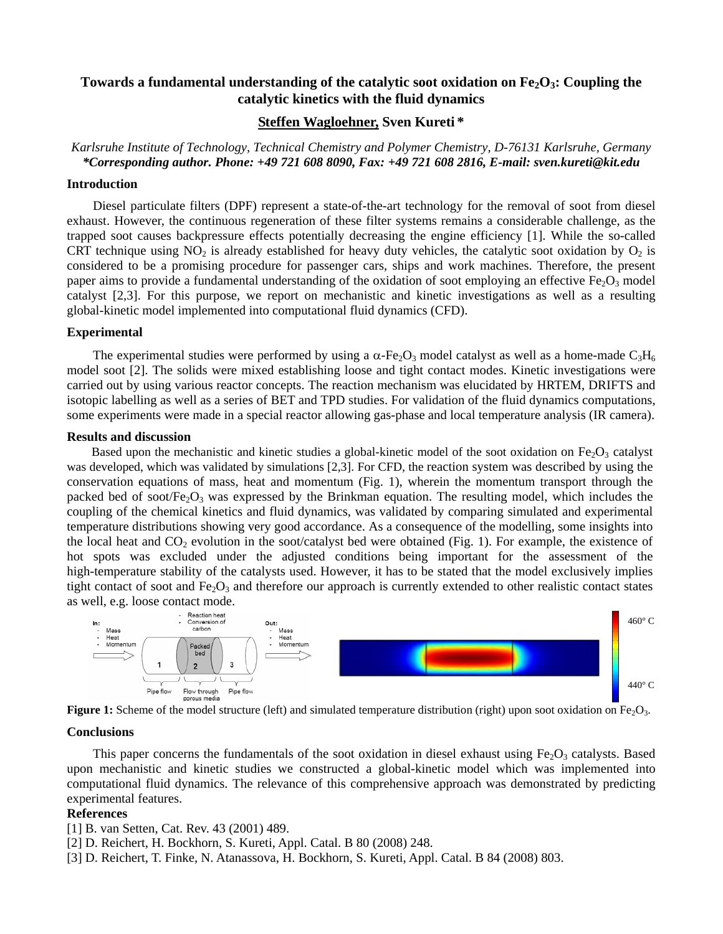## Towards a fundamental understanding of the catalytic soot oxidation on Fe<sub>2</sub>O<sub>3</sub>: Coupling the **catalytic kinetics with the fluid dynamics**

### **Steffen Wagloehner, Sven Kureti \***

*Karlsruhe Institute of Technology, Technical Chemistry and Polymer Chemistry, D-76131 Karlsruhe, Germany \*Corresponding author. Phone: +49 721 608 8090, Fax: +49 721 608 2816, E-mail: sven.kureti@kit.edu*

#### **Introduction**

Diesel particulate filters (DPF) represent a state-of-the-art technology for the removal of soot from diesel exhaust. However, the continuous regeneration of these filter systems remains a considerable challenge, as the trapped soot causes backpressure effects potentially decreasing the engine efficiency [1]. While the so-called CRT technique using  $NO_2$  is already established for heavy duty vehicles, the catalytic soot oxidation by  $O_2$  is considered to be a promising procedure for passenger cars, ships and work machines. Therefore, the present paper aims to provide a fundamental understanding of the oxidation of soot employing an effective  $Fe<sub>2</sub>O<sub>3</sub>$  model catalyst [2,3]. For this purpose, we report on mechanistic and kinetic investigations as well as a resulting global-kinetic model implemented into computational fluid dynamics (CFD).

#### **Experimental**

The experimental studies were performed by using a  $\alpha$ -Fe<sub>2</sub>O<sub>3</sub> model catalyst as well as a home-made C<sub>3</sub>H<sub>6</sub> model soot [2]. The solids were mixed establishing loose and tight contact modes. Kinetic investigations were carried out by using various reactor concepts. The reaction mechanism was elucidated by HRTEM, DRIFTS and isotopic labelling as well as a series of BET and TPD studies. For validation of the fluid dynamics computations, some experiments were made in a special reactor allowing gas-phase and local temperature analysis (IR camera).

#### **Results and discussion**

Based upon the mechanistic and kinetic studies a global-kinetic model of the soot oxidation on  $Fe<sub>2</sub>O<sub>3</sub>$  catalyst was developed, which was validated by simulations [2,3]. For CFD, the reaction system was described by using the conservation equations of mass, heat and momentum (Fig. 1), wherein the momentum transport through the packed bed of soot/ $Fe<sub>2</sub>O<sub>3</sub>$  was expressed by the Brinkman equation. The resulting model, which includes the coupling of the chemical kinetics and fluid dynamics, was validated by comparing simulated and experimental temperature distributions showing very good accordance. As a consequence of the modelling, some insights into the local heat and  $CO<sub>2</sub>$  evolution in the soot/catalyst bed were obtained (Fig. 1). For example, the existence of hot spots was excluded under the adjusted conditions being important for the assessment of the high-temperature stability of the catalysts used. However, it has to be stated that the model exclusively implies tight contact of soot and  $Fe<sub>2</sub>O<sub>3</sub>$  and therefore our approach is currently extended to other realistic contact states as well, e.g. loose contact mode.



**Figure 1:** Scheme of the model structure (left) and simulated temperature distribution (right) upon soot oxidation on  $Fe<sub>2</sub>O<sub>3</sub>$ .

#### **Conclusions**

This paper concerns the fundamentals of the soot oxidation in diesel exhaust using  $Fe<sub>2</sub>O<sub>3</sub>$  catalysts. Based upon mechanistic and kinetic studies we constructed a global-kinetic model which was implemented into computational fluid dynamics. The relevance of this comprehensive approach was demonstrated by predicting experimental features.

#### **References**

[1] B. van Setten, Cat. Rev. 43 (2001) 489.

- [2] D. Reichert, H. Bockhorn, S. Kureti, Appl. Catal. B 80 (2008) 248.
- [3] D. Reichert, T. Finke, N. Atanassova, H. Bockhorn, S. Kureti, Appl. Catal. B 84 (2008) 803.